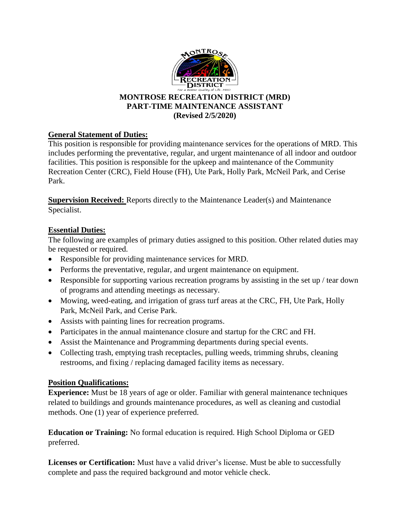

## **MONTROSE RECREATION DISTRICT (MRD) PART-TIME MAINTENANCE ASSISTANT (Revised 2/5/2020)**

# **General Statement of Duties:**

This position is responsible for providing maintenance services for the operations of MRD. This includes performing the preventative, regular, and urgent maintenance of all indoor and outdoor facilities. This position is responsible for the upkeep and maintenance of the Community Recreation Center (CRC), Field House (FH), Ute Park, Holly Park, McNeil Park, and Cerise Park.

**Supervision Received:** Reports directly to the Maintenance Leader(s) and Maintenance Specialist.

# **Essential Duties:**

The following are examples of primary duties assigned to this position. Other related duties may be requested or required.

- Responsible for providing maintenance services for MRD.
- Performs the preventative, regular, and urgent maintenance on equipment.
- Responsible for supporting various recreation programs by assisting in the set up / tear down of programs and attending meetings as necessary.
- Mowing, weed-eating, and irrigation of grass turf areas at the CRC, FH, Ute Park, Holly Park, McNeil Park, and Cerise Park.
- Assists with painting lines for recreation programs.
- Participates in the annual maintenance closure and startup for the CRC and FH.
- Assist the Maintenance and Programming departments during special events.
- Collecting trash, emptying trash receptacles, pulling weeds, trimming shrubs, cleaning restrooms, and fixing / replacing damaged facility items as necessary.

#### **Position Qualifications:**

**Experience:** Must be 18 years of age or older. Familiar with general maintenance techniques related to buildings and grounds maintenance procedures, as well as cleaning and custodial methods. One (1) year of experience preferred.

**Education or Training:** No formal education is required. High School Diploma or GED preferred.

**Licenses or Certification:** Must have a valid driver's license. Must be able to successfully complete and pass the required background and motor vehicle check.